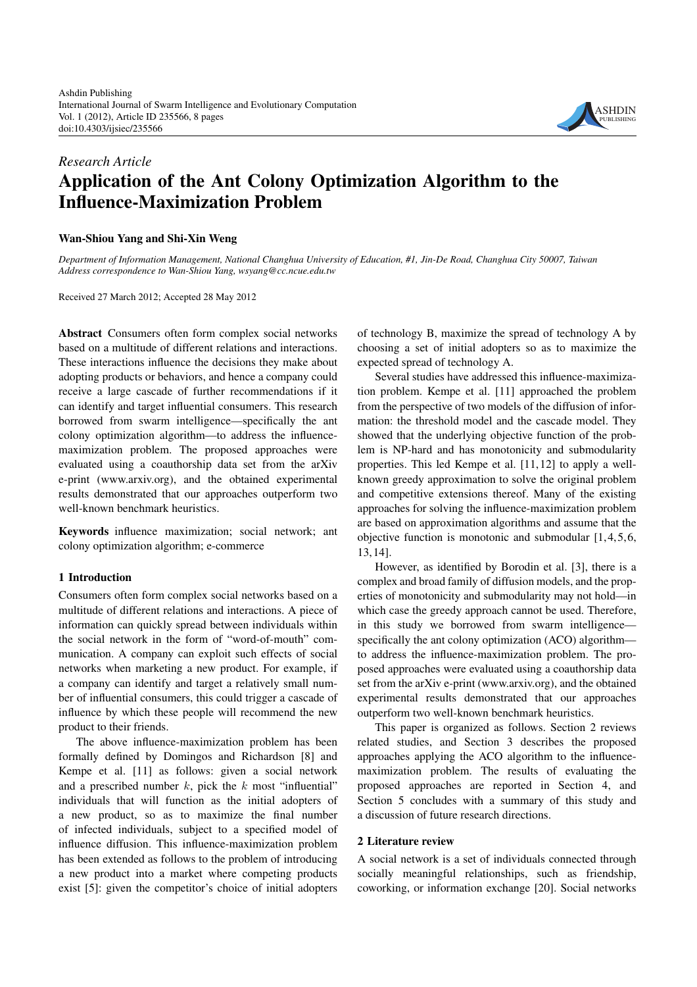

# *Research Article* **Application of the Ant Colony Optimization Algorithm to the Influence-Maximization Problem**

# **Wan-Shiou Yang and Shi-Xin Weng**

*Department of Information Management, National Changhua University of Education, #1, Jin-De Road, Changhua City 50007, Taiwan Address correspondence to Wan-Shiou Yang, wsyang@cc.ncue.edu.tw*

Received 27 March 2012; Accepted 28 May 2012

**Abstract** Consumers often form complex social networks based on a multitude of different relations and interactions. These interactions influence the decisions they make about adopting products or behaviors, and hence a company could receive a large cascade of further recommendations if it can identify and target influential consumers. This research borrowed from swarm intelligence—specifically the ant colony optimization algorithm—to address the influencemaximization problem. The proposed approaches were evaluated using a coauthorship data set from the arXiv e-print [\(www.arxiv.org\)](file:www.arxiv.org), and the obtained experimental results demonstrated that our approaches outperform two well-known benchmark heuristics.

**Keywords** influence maximization; social network; ant colony optimization algorithm; e-commerce

### **1 Introduction**

Consumers often form complex social networks based on a multitude of different relations and interactions. A piece of information can quickly spread between individuals within the social network in the form of "word-of-mouth" communication. A company can exploit such effects of social networks when marketing a new product. For example, if a company can identify and target a relatively small number of influential consumers, this could trigger a cascade of influence by which these people will recommend the new product to their friends.

The above influence-maximization problem has been formally defined by Domingos and Richardson [\[8\]](#page-7-1) and Kempe et al. [\[11\]](#page-7-2) as follows: given a social network and a prescribed number  $k$ , pick the  $k$  most "influential" individuals that will function as the initial adopters of a new product, so as to maximize the final number of infected individuals, subject to a specified model of influence diffusion. This influence-maximization problem has been extended as follows to the problem of introducing a new product into a market where competing products exist [\[5\]](#page-7-3): given the competitor's choice of initial adopters

of technology B, maximize the spread of technology A by choosing a set of initial adopters so as to maximize the expected spread of technology A.

Several studies have addressed this influence-maximization problem. Kempe et al. [\[11\]](#page-7-2) approached the problem from the perspective of two models of the diffusion of information: the threshold model and the cascade model. They showed that the underlying objective function of the problem is NP-hard and has monotonicity and submodularity properties. This led Kempe et al. [\[11,](#page-7-2)[12\]](#page-7-4) to apply a wellknown greedy approximation to solve the original problem and competitive extensions thereof. Many of the existing approaches for solving the influence-maximization problem are based on approximation algorithms and assume that the objective function is monotonic and submodular [\[1,](#page-7-5)[4,](#page-7-6)[5,](#page-7-3)[6,](#page-7-7) [13,](#page-7-8)[14\]](#page-7-9).

However, as identified by Borodin et al. [\[3\]](#page-7-10), there is a complex and broad family of diffusion models, and the properties of monotonicity and submodularity may not hold—in which case the greedy approach cannot be used. Therefore, in this study we borrowed from swarm intelligence specifically the ant colony optimization (ACO) algorithm to address the influence-maximization problem. The proposed approaches were evaluated using a coauthorship data set from the arXiv e-print [\(www.arxiv.org\)](file:www.arxiv.org), and the obtained experimental results demonstrated that our approaches outperform two well-known benchmark heuristics.

This paper is organized as follows. Section [2](#page-0-0) reviews related studies, and Section [3](#page-1-0) describes the proposed approaches applying the ACO algorithm to the influencemaximization problem. The results of evaluating the proposed approaches are reported in Section [4,](#page-5-0) and Section [5](#page-7-0) concludes with a summary of this study and a discussion of future research directions.

### <span id="page-0-0"></span>**2 Literature review**

A social network is a set of individuals connected through socially meaningful relationships, such as friendship, coworking, or information exchange [\[20\]](#page-7-11). Social networks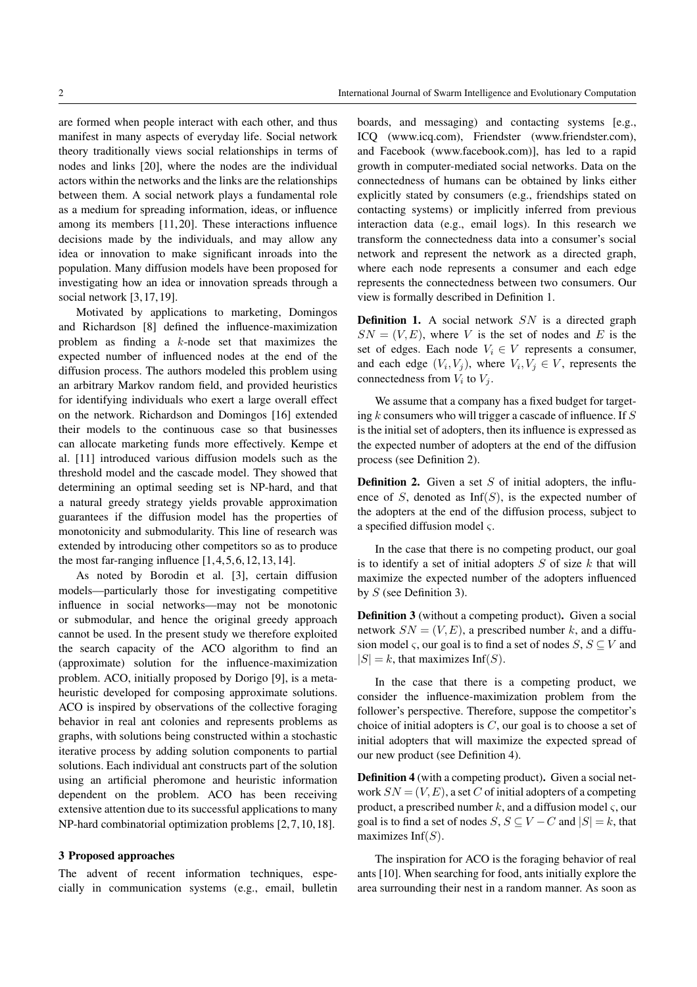are formed when people interact with each other, and thus manifest in many aspects of everyday life. Social network theory traditionally views social relationships in terms of nodes and links [\[20\]](#page-7-11), where the nodes are the individual actors within the networks and the links are the relationships between them. A social network plays a fundamental role as a medium for spreading information, ideas, or influence among its members [\[11,](#page-7-2)[20\]](#page-7-11). These interactions influence decisions made by the individuals, and may allow any idea or innovation to make significant inroads into the population. Many diffusion models have been proposed for investigating how an idea or innovation spreads through a social network [\[3,](#page-7-10)[17,](#page-7-12)[19\]](#page-7-13).

Motivated by applications to marketing, Domingos and Richardson [\[8\]](#page-7-1) defined the influence-maximization problem as finding a k-node set that maximizes the expected number of influenced nodes at the end of the diffusion process. The authors modeled this problem using an arbitrary Markov random field, and provided heuristics for identifying individuals who exert a large overall effect on the network. Richardson and Domingos [\[16\]](#page-7-14) extended their models to the continuous case so that businesses can allocate marketing funds more effectively. Kempe et al. [\[11\]](#page-7-2) introduced various diffusion models such as the threshold model and the cascade model. They showed that determining an optimal seeding set is NP-hard, and that a natural greedy strategy yields provable approximation guarantees if the diffusion model has the properties of monotonicity and submodularity. This line of research was extended by introducing other competitors so as to produce the most far-ranging influence  $[1,4,5,6,12,13,14]$  $[1,4,5,6,12,13,14]$  $[1,4,5,6,12,13,14]$  $[1,4,5,6,12,13,14]$  $[1,4,5,6,12,13,14]$  $[1,4,5,6,12,13,14]$  $[1,4,5,6,12,13,14]$ .

As noted by Borodin et al. [\[3\]](#page-7-10), certain diffusion models—particularly those for investigating competitive influence in social networks—may not be monotonic or submodular, and hence the original greedy approach cannot be used. In the present study we therefore exploited the search capacity of the ACO algorithm to find an (approximate) solution for the influence-maximization problem. ACO, initially proposed by Dorigo [\[9\]](#page-7-15), is a metaheuristic developed for composing approximate solutions. ACO is inspired by observations of the collective foraging behavior in real ant colonies and represents problems as graphs, with solutions being constructed within a stochastic iterative process by adding solution components to partial solutions. Each individual ant constructs part of the solution using an artificial pheromone and heuristic information dependent on the problem. ACO has been receiving extensive attention due to its successful applications to many NP-hard combinatorial optimization problems [\[2,](#page-7-16)[7,](#page-7-17)[10,](#page-7-18)[18\]](#page-7-19).

#### <span id="page-1-0"></span>**3 Proposed approaches**

The advent of recent information techniques, especially in communication systems (e.g., email, bulletin boards, and messaging) and contacting systems [e.g., ICQ [\(www.icq.com\)](file:www.icq.com), Friendster [\(www.friendster.com\)](file:www.friendster.com), and Facebook [\(www.facebook.com\)](file:www.facebook.com)], has led to a rapid growth in computer-mediated social networks. Data on the connectedness of humans can be obtained by links either explicitly stated by consumers (e.g., friendships stated on contacting systems) or implicitly inferred from previous interaction data (e.g., email logs). In this research we transform the connectedness data into a consumer's social network and represent the network as a directed graph, where each node represents a consumer and each edge represents the connectedness between two consumers. Our view is formally described in Definition [1.](#page-1-1)

<span id="page-1-1"></span>**Definition 1.** A social network SN is a directed graph  $SN = (V, E)$ , where V is the set of nodes and E is the set of edges. Each node  $V_i \in V$  represents a consumer, and each edge  $(V_i, V_j)$ , where  $V_i, V_j \in V$ , represents the connectedness from  $V_i$  to  $V_i$ .

We assume that a company has a fixed budget for targeting  $k$  consumers who will trigger a cascade of influence. If  $S$ is the initial set of adopters, then its influence is expressed as the expected number of adopters at the end of the diffusion process (see Definition [2\)](#page-1-2).

<span id="page-1-2"></span>**Definition 2.** Given a set  $S$  of initial adopters, the influence of S, denoted as  $Inf(S)$ , is the expected number of the adopters at the end of the diffusion process, subject to a specified diffusion model ς.

In the case that there is no competing product, our goal is to identify a set of initial adopters  $S$  of size  $k$  that will maximize the expected number of the adopters influenced by  $S$  (see Definition [3\)](#page-1-3).

<span id="page-1-3"></span>**Definition 3** (without a competing product)**.** Given a social network  $SN = (V, E)$ , a prescribed number k, and a diffusion model  $\varsigma$ , our goal is to find a set of nodes  $S, S \subseteq V$  and  $|S| = k$ , that maximizes Inf(S).

In the case that there is a competing product, we consider the influence-maximization problem from the follower's perspective. Therefore, suppose the competitor's choice of initial adopters is  $C$ , our goal is to choose a set of initial adopters that will maximize the expected spread of our new product (see Definition [4\)](#page-1-4).

<span id="page-1-4"></span>**Definition 4** (with a competing product)**.** Given a social network  $SN = (V, E)$ , a set C of initial adopters of a competing product, a prescribed number k, and a diffusion model  $\varsigma$ , our goal is to find a set of nodes  $S, S \subseteq V - C$  and  $|S| = k$ , that maximizes Inf $(S)$ .

The inspiration for ACO is the foraging behavior of real ants [\[10\]](#page-7-18). When searching for food, ants initially explore the area surrounding their nest in a random manner. As soon as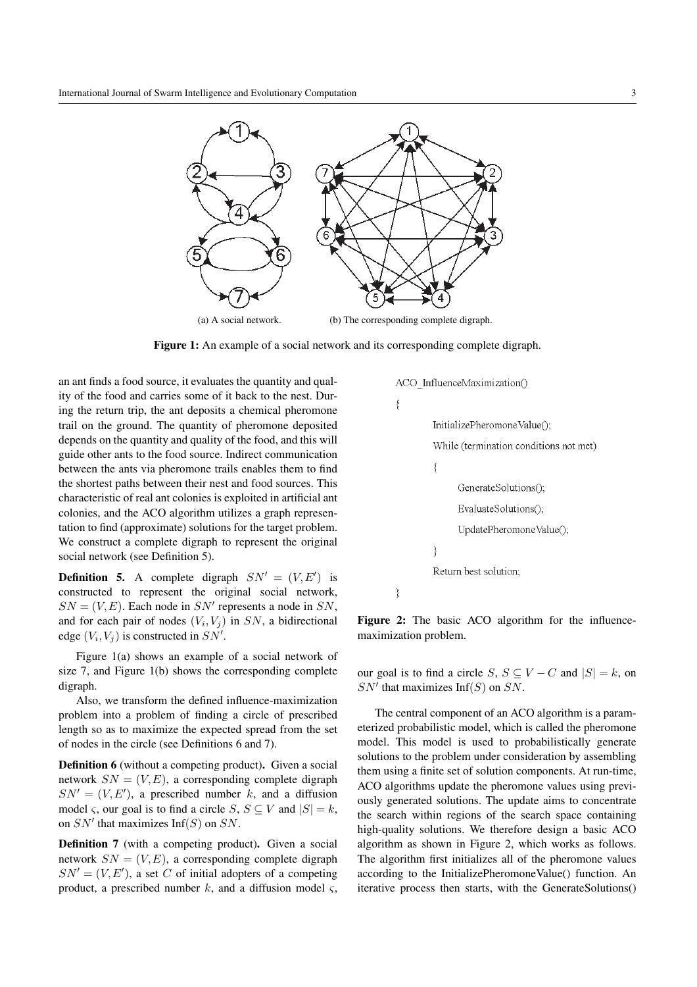

<span id="page-2-1"></span>**Figure 1:** An example of a social network and its corresponding complete digraph.

an ant finds a food source, it evaluates the quantity and quality of the food and carries some of it back to the nest. During the return trip, the ant deposits a chemical pheromone trail on the ground. The quantity of pheromone deposited depends on the quantity and quality of the food, and this will guide other ants to the food source. Indirect communication between the ants via pheromone trails enables them to find the shortest paths between their nest and food sources. This characteristic of real ant colonies is exploited in artificial ant colonies, and the ACO algorithm utilizes a graph representation to find (approximate) solutions for the target problem. We construct a complete digraph to represent the original social network (see Definition [5\)](#page-2-0).

<span id="page-2-0"></span>**Definition 5.** A complete digraph  $SN' = (V, E')$  is constructed to represent the original social network,  $SN = (V, E)$ . Each node in  $SN'$  represents a node in  $SN$ , and for each pair of nodes  $(V_i, V_j)$  in SN, a bidirectional edge  $(V_i, V_j)$  is constructed in  $SN'$ .

Figure [1\(](#page-2-1)a) shows an example of a social network of size 7, and Figure [1\(](#page-2-1)b) shows the corresponding complete digraph.

Also, we transform the defined influence-maximization problem into a problem of finding a circle of prescribed length so as to maximize the expected spread from the set of nodes in the circle (see Definitions [6](#page-2-2) and [7\)](#page-2-3).

<span id="page-2-2"></span>**Definition 6** (without a competing product)**.** Given a social network  $SN = (V, E)$ , a corresponding complete digraph  $SN' = (V, E')$ , a prescribed number k, and a diffusion model  $\varsigma$ , our goal is to find a circle  $S, S \subseteq V$  and  $|S| = k$ , on  $SN'$  that maximizes Inf(S) on SN.

<span id="page-2-3"></span>**Definition 7** (with a competing product)**.** Given a social network  $SN = (V, E)$ , a corresponding complete digraph  $SN' = (V, E')$ , a set C of initial adopters of a competing product, a prescribed number k, and a diffusion model  $\varsigma$ ,

<span id="page-2-4"></span>Figure 2: The basic ACO algorithm for the influencemaximization problem.

our goal is to find a circle S,  $S \subseteq V - C$  and  $|S| = k$ , on  $SN'$  that maximizes Inf(S) on SN.

The central component of an ACO algorithm is a parameterized probabilistic model, which is called the pheromone model. This model is used to probabilistically generate solutions to the problem under consideration by assembling them using a finite set of solution components. At run-time, ACO algorithms update the pheromone values using previously generated solutions. The update aims to concentrate the search within regions of the search space containing high-quality solutions. We therefore design a basic ACO algorithm as shown in Figure [2,](#page-2-4) which works as follows. The algorithm first initializes all of the pheromone values according to the InitializePheromoneValue() function. An iterative process then starts, with the GenerateSolutions()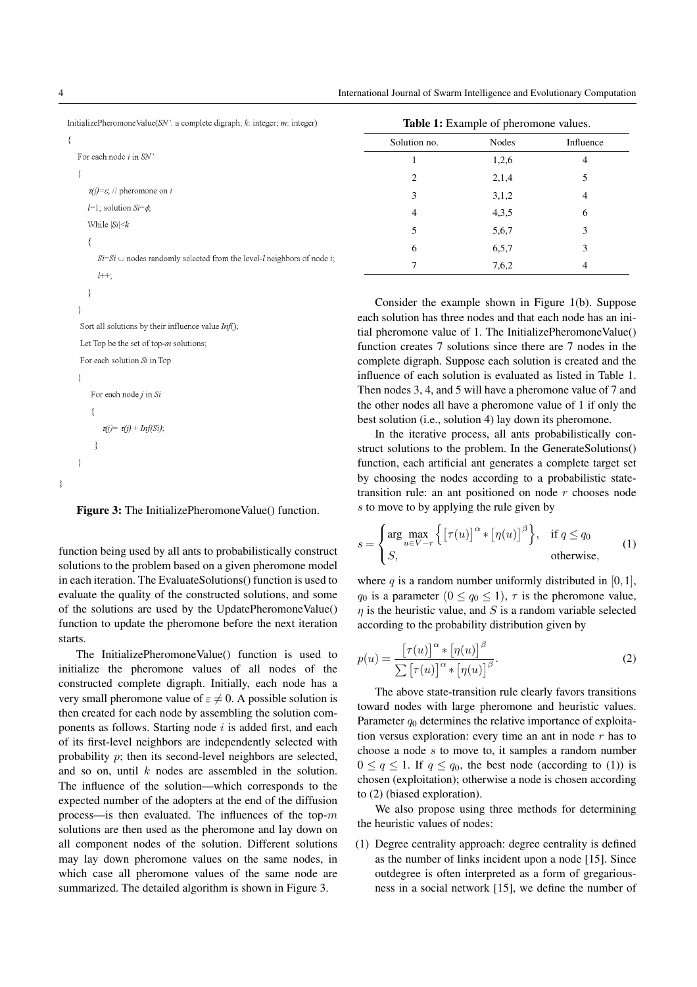Ĵ.

4 International Journal of Swarm Intelligence and Evolutionary Computation

| InitializePheromoneValue( $SN'$ : a complete digraph; k: integer; m: integer)                | <b>Table 1:</b> Example of pheromone values. |              |           |  |
|----------------------------------------------------------------------------------------------|----------------------------------------------|--------------|-----------|--|
|                                                                                              | Solution no.                                 | <b>Nodes</b> | Influence |  |
| For each node <i>i</i> in SN'                                                                |                                              | 1,2,6        | 4         |  |
|                                                                                              | 2                                            | 2,1,4        |           |  |
| $\tau(i) = \varepsilon$ , // pheromone on <i>i</i>                                           | 3                                            | 3,1,2        | 4         |  |
| $l=1$ ; solution $Si=\phi$ ,                                                                 | 4                                            | 4,3,5        | 6         |  |
| While $ Si  \le k$                                                                           | 5                                            | 5,6,7        | 3         |  |
|                                                                                              | 6                                            | 6,5,7        | 3         |  |
| $Si=Si$ $\cup$ nodes randomly selected from the level- <i>l</i> neighbors of node <i>i</i> ; |                                              | 7,6,2        | 4         |  |
| $l^{++}$ ;                                                                                   |                                              |              |           |  |

<span id="page-3-1"></span>Consider the example shown in Figure [1\(](#page-2-1)b). Suppose each solution has three nodes and that each node has an initial pheromone value of 1. The InitializePheromoneValue() function creates 7 solutions since there are 7 nodes in the complete digraph. Suppose each solution is created and the influence of each solution is evaluated as listed in Table [1.](#page-3-1) Then nodes 3, 4, and 5 will have a pheromone value of 7 and the other nodes all have a pheromone value of 1 if only the best solution (i.e., solution 4) lay down its pheromone.

In the iterative process, all ants probabilistically construct solutions to the problem. In the GenerateSolutions() function, each artificial ant generates a complete target set by choosing the nodes according to a probabilistic statetransition rule: an ant positioned on node  $r$  chooses node s to move to by applying the rule given by

<span id="page-3-2"></span>
$$
s = \begin{cases} \arg \max_{u \in V - r} \left\{ \left[ \tau(u) \right]^{\alpha} * \left[ \eta(u) \right]^{\beta} \right\}, & \text{if } q \le q_0 \\ S, & \text{otherwise,} \end{cases}
$$
 (1)

where q is a random number uniformly distributed in  $[0,1]$ ,  $q_0$  is a parameter  $(0 \leq q_0 \leq 1)$ ,  $\tau$  is the pheromone value,  $\eta$  is the heuristic value, and S is a random variable selected according to the probability distribution given by

<span id="page-3-3"></span>
$$
p(u) = \frac{\left[\tau(u)\right]^{\alpha} * \left[\eta(u)\right]^{\beta}}{\sum \left[\tau(u)\right]^{\alpha} * \left[\eta(u)\right]^{\beta}}.
$$
 (2)

The above state-transition rule clearly favors transitions toward nodes with large pheromone and heuristic values. Parameter  $q_0$  determines the relative importance of exploitation versus exploration: every time an ant in node  $r$  has to choose a node s to move to, it samples a random number  $0 \le q \le 1$ . If  $q \le q_0$ , the best node (according to [\(1\)](#page-3-2)) is chosen (exploitation); otherwise a node is chosen according to [\(2\)](#page-3-3) (biased exploration).

We also propose using three methods for determining the heuristic values of nodes:

(1) Degree centrality approach: degree centrality is defined as the number of links incident upon a node [\[15\]](#page-7-20). Since outdegree is often interpreted as a form of gregariousness in a social network [\[15\]](#page-7-20), we define the number of

 $\mathcal{E}$ Sort all solutions by their influence value  $Inf()$ ; Let Top be the set of top- $m$  solutions; For each solution Si in Top  $\{$ For each node j in Si  $\{$  $\tau(j) = \tau(j) + Inf(Si);$  $\rightarrow$ ₹

<span id="page-3-0"></span>**Figure 3:** The InitializePheromoneValue() function.

function being used by all ants to probabilistically construct solutions to the problem based on a given pheromone model in each iteration. The EvaluateSolutions() function is used to evaluate the quality of the constructed solutions, and some of the solutions are used by the UpdatePheromoneValue() function to update the pheromone before the next iteration starts.

The InitializePheromoneValue() function is used to initialize the pheromone values of all nodes of the constructed complete digraph. Initially, each node has a very small pheromone value of  $\varepsilon \neq 0$ . A possible solution is then created for each node by assembling the solution components as follows. Starting node  $i$  is added first, and each of its first-level neighbors are independently selected with probability  $p$ ; then its second-level neighbors are selected. and so on, until  $k$  nodes are assembled in the solution. The influence of the solution—which corresponds to the expected number of the adopters at the end of the diffusion process—is then evaluated. The influences of the top- $m$ solutions are then used as the pheromone and lay down on all component nodes of the solution. Different solutions may lay down pheromone values on the same nodes, in which case all pheromone values of the same node are summarized. The detailed algorithm is shown in Figure [3.](#page-3-0)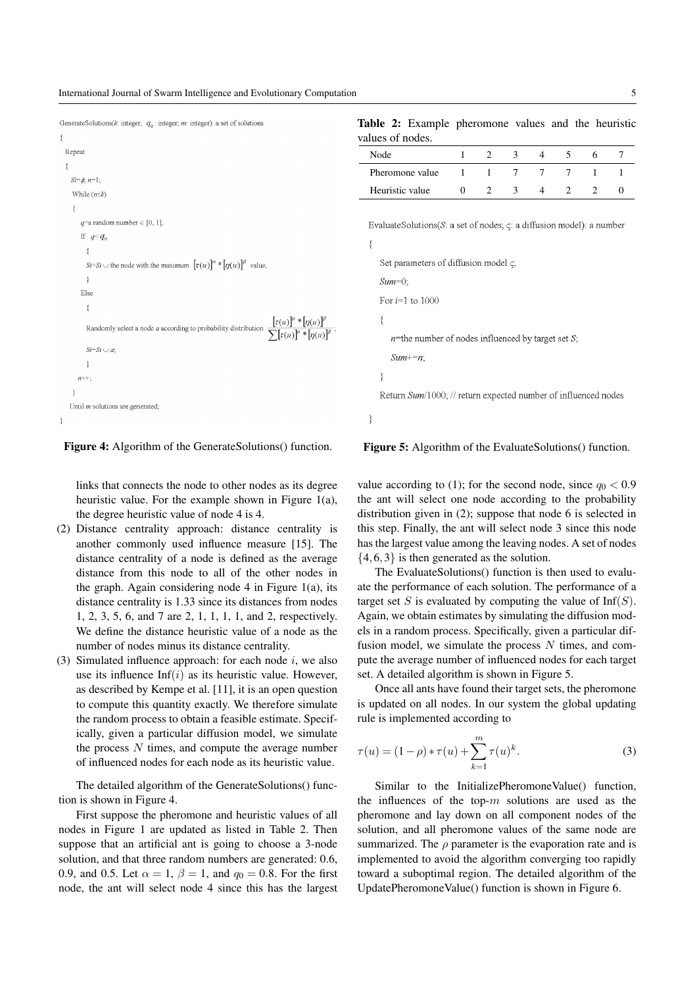|  | GenerateSolutions(k: integer; $q_0$ : integer; m: integer): a set of solutions |  |  |  |  |
|--|--------------------------------------------------------------------------------|--|--|--|--|
|--|--------------------------------------------------------------------------------|--|--|--|--|



**Figure 4:** Algorithm of the GenerateSolutions() function.

<span id="page-4-0"></span>links that connects the node to other nodes as its degree heuristic value. For the example shown in Figure [1\(](#page-2-1)a), the degree heuristic value of node 4 is 4.

- (2) Distance centrality approach: distance centrality is another commonly used influence measure [\[15\]](#page-7-20). The distance centrality of a node is defined as the average distance from this node to all of the other nodes in the graph. Again considering node  $4$  in Figure [1\(](#page-2-1)a), its distance centrality is 1.33 since its distances from nodes 1, 2, 3, 5, 6, and 7 are 2, 1, 1, 1, 1, and 2, respectively. We define the distance heuristic value of a node as the number of nodes minus its distance centrality.
- (3) Simulated influence approach: for each node  $i$ , we also use its influence  $Inf(i)$  as its heuristic value. However, as described by Kempe et al. [\[11\]](#page-7-2), it is an open question to compute this quantity exactly. We therefore simulate the random process to obtain a feasible estimate. Specifically, given a particular diffusion model, we simulate the process  $N$  times, and compute the average number of influenced nodes for each node as its heuristic value.

The detailed algorithm of the GenerateSolutions() function is shown in Figure [4.](#page-4-0)

First suppose the pheromone and heuristic values of all nodes in Figure [1](#page-2-1) are updated as listed in Table [2.](#page-4-1) Then suppose that an artificial ant is going to choose a 3-node solution, and that three random numbers are generated: 0.6, 0.9, and 0.5. Let  $\alpha = 1$ ,  $\beta = 1$ , and  $q_0 = 0.8$ . For the first node, the ant will select node 4 since this has the largest

**Table 2:** Example pheromone values and the heuristic values of nodes.

<span id="page-4-1"></span>

| Node            |  |  |  |  |
|-----------------|--|--|--|--|
| Pheromone value |  |  |  |  |
| Heuristic value |  |  |  |  |

EvaluateSolutions( $S$ : a set of nodes;  $\varsigma$ : a diffusion model): a number

ţ

₹

| Set parameters of diffusion model $\zeta$ ;                    |
|----------------------------------------------------------------|
| $Sum=0$ .                                                      |
| For $i=1$ to 1000                                              |
|                                                                |
| <i>n</i> =the number of nodes influenced by target set S;      |
| $Sum+=n$ .                                                     |
|                                                                |
| Return Sum/1000; // return expected number of influenced nodes |
|                                                                |

<span id="page-4-2"></span>**Figure 5:** Algorithm of the EvaluateSolutions() function.

value according to [\(1\)](#page-3-2); for the second node, since  $q_0 < 0.9$ the ant will select one node according to the probability distribution given in [\(2\)](#page-3-3); suppose that node 6 is selected in this step. Finally, the ant will select node 3 since this node has the largest value among the leaving nodes. A set of nodes  $\{4,6,3\}$  is then generated as the solution.

The EvaluateSolutions() function is then used to evaluate the performance of each solution. The performance of a target set S is evaluated by computing the value of  $Inf(S)$ . Again, we obtain estimates by simulating the diffusion models in a random process. Specifically, given a particular diffusion model, we simulate the process  $N$  times, and compute the average number of influenced nodes for each target set. A detailed algorithm is shown in Figure [5.](#page-4-2)

Once all ants have found their target sets, the pheromone is updated on all nodes. In our system the global updating rule is implemented according to

$$
\tau(u) = (1 - \rho) * \tau(u) + \sum_{k=1}^{m} \tau(u)^k.
$$
 (3)

Similar to the InitializePheromoneValue() function, the influences of the top- $m$  solutions are used as the pheromone and lay down on all component nodes of the solution, and all pheromone values of the same node are summarized. The  $\rho$  parameter is the evaporation rate and is implemented to avoid the algorithm converging too rapidly toward a suboptimal region. The detailed algorithm of the UpdatePheromoneValue() function is shown in Figure [6.](#page-5-1)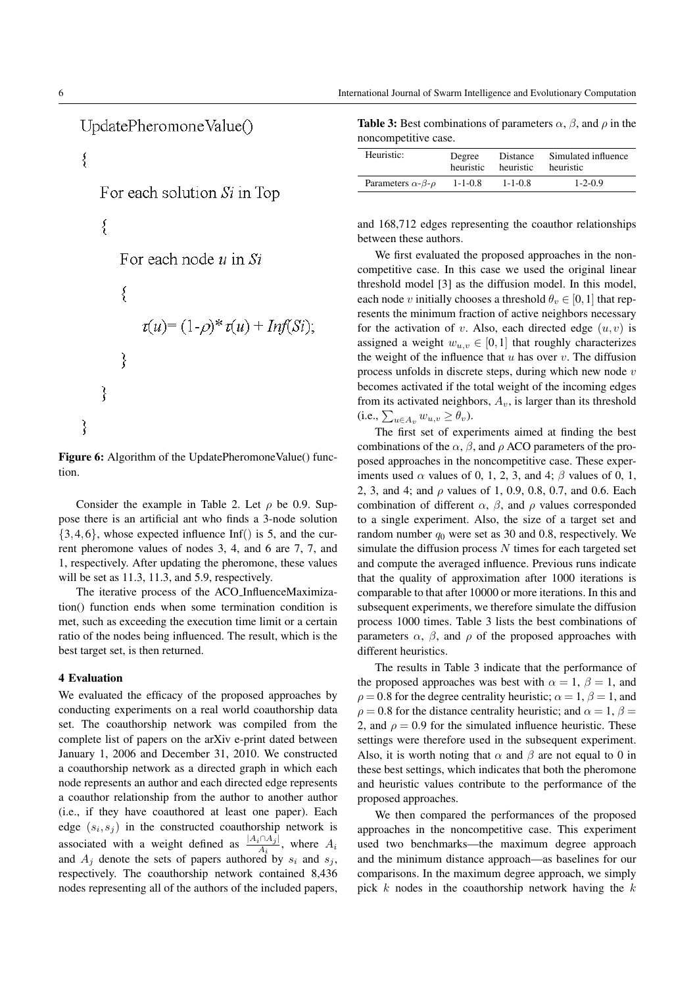UpdatePheromoneValue()

```
\{For each solution Si in Top
\{For each node u in Si
   \{\tau(u) = (1-\rho)^* \tau(u) + \text{Inf}(Si);
   ₹
\{₹
```
<span id="page-5-1"></span>**Figure 6:** Algorithm of the UpdatePheromoneValue() function.

Consider the example in Table [2.](#page-4-1) Let  $\rho$  be 0.9. Suppose there is an artificial ant who finds a 3-node solution  $\{3,4,6\}$ , whose expected influence Inf() is 5, and the current pheromone values of nodes 3, 4, and 6 are 7, 7, and 1, respectively. After updating the pheromone, these values will be set as 11.3, 11.3, and 5.9, respectively.

The iterative process of the ACO InfluenceMaximization() function ends when some termination condition is met, such as exceeding the execution time limit or a certain ratio of the nodes being influenced. The result, which is the best target set, is then returned.

## <span id="page-5-0"></span>**4 Evaluation**

We evaluated the efficacy of the proposed approaches by conducting experiments on a real world coauthorship data set. The coauthorship network was compiled from the complete list of papers on the arXiv e-print dated between January 1, 2006 and December 31, 2010. We constructed a coauthorship network as a directed graph in which each node represents an author and each directed edge represents a coauthor relationship from the author to another author (i.e., if they have coauthored at least one paper). Each edge  $(s_i, s_j)$  in the constructed coauthorship network is associated with a weight defined as  $\frac{|A_i \cap A_j|}{A_i}$ , where  $A_i$ and  $A_j$  denote the sets of papers authored by  $s_i$  and  $s_j$ , respectively. The coauthorship network contained 8,436 nodes representing all of the authors of the included papers,

<span id="page-5-2"></span>

| <b>Table 3:</b> Best combinations of parameters $\alpha$ , $\beta$ , and $\rho$ in the |  |
|----------------------------------------------------------------------------------------|--|
| noncompetitive case.                                                                   |  |

| Heuristic:                             | Degree        | Distance      | Simulated influence |
|----------------------------------------|---------------|---------------|---------------------|
|                                        | heuristic     | heuristic     | heuristic           |
| Parameters $\alpha$ - $\beta$ - $\rho$ | $1 - 1 - 0.8$ | $1 - 1 - 0.8$ | $1 - 2 - 0.9$       |

and 168,712 edges representing the coauthor relationships between these authors.

We first evaluated the proposed approaches in the noncompetitive case. In this case we used the original linear threshold model [\[3\]](#page-7-10) as the diffusion model. In this model, each node v initially chooses a threshold  $\theta_v \in [0,1]$  that represents the minimum fraction of active neighbors necessary for the activation of v. Also, each directed edge  $(u, v)$  is assigned a weight  $w_{u,v} \in [0,1]$  that roughly characterizes the weight of the influence that  $u$  has over  $v$ . The diffusion process unfolds in discrete steps, during which new node  $v$ becomes activated if the total weight of the incoming edges from its activated neighbors,  $A_v$ , is larger than its threshold  $(i.e., \sum_{u \in A_v} w_{u,v} \ge \theta_v).$ 

The first set of experiments aimed at finding the best combinations of the  $\alpha$ ,  $\beta$ , and  $\rho$  ACO parameters of the proposed approaches in the noncompetitive case. These experiments used  $\alpha$  values of 0, 1, 2, 3, and 4;  $\beta$  values of 0, 1, 2, 3, and 4; and  $\rho$  values of 1, 0.9, 0.8, 0.7, and 0.6. Each combination of different  $\alpha$ ,  $\beta$ , and  $\rho$  values corresponded to a single experiment. Also, the size of a target set and random number  $q_0$  were set as 30 and 0.8, respectively. We simulate the diffusion process  $N$  times for each targeted set and compute the averaged influence. Previous runs indicate that the quality of approximation after 1000 iterations is comparable to that after 10000 or more iterations. In this and subsequent experiments, we therefore simulate the diffusion process 1000 times. Table [3](#page-5-2) lists the best combinations of parameters  $\alpha$ ,  $\beta$ , and  $\rho$  of the proposed approaches with different heuristics.

The results in Table 3 indicate that the performance of the proposed approaches was best with  $\alpha = 1$ ,  $\beta = 1$ , and  $\rho = 0.8$  for the degree centrality heuristic;  $\alpha = 1, \beta = 1$ , and  $\rho = 0.8$  for the distance centrality heuristic; and  $\alpha = 1, \beta =$ 2, and  $\rho = 0.9$  for the simulated influence heuristic. These settings were therefore used in the subsequent experiment. Also, it is worth noting that  $\alpha$  and  $\beta$  are not equal to 0 in these best settings, which indicates that both the pheromone and heuristic values contribute to the performance of the proposed approaches.

We then compared the performances of the proposed approaches in the noncompetitive case. This experiment used two benchmarks—the maximum degree approach and the minimum distance approach—as baselines for our comparisons. In the maximum degree approach, we simply pick  $k$  nodes in the coauthorship network having the  $k$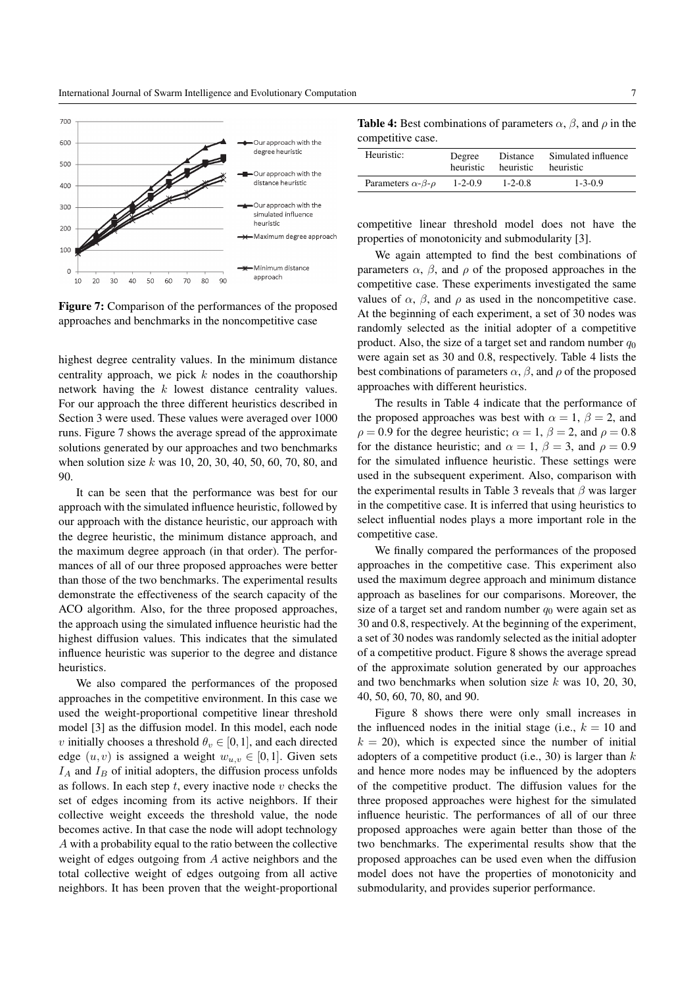

<span id="page-6-0"></span>**Figure 7:** Comparison of the performances of the proposed approaches and benchmarks in the noncompetitive case

highest degree centrality values. In the minimum distance centrality approach, we pick  $k$  nodes in the coauthorship network having the k lowest distance centrality values. For our approach the three different heuristics described in Section [3](#page-1-0) were used. These values were averaged over 1000 runs. Figure [7](#page-6-0) shows the average spread of the approximate solutions generated by our approaches and two benchmarks when solution size k was 10, 20, 30, 40, 50, 60, 70, 80, and 90.

It can be seen that the performance was best for our approach with the simulated influence heuristic, followed by our approach with the distance heuristic, our approach with the degree heuristic, the minimum distance approach, and the maximum degree approach (in that order). The performances of all of our three proposed approaches were better than those of the two benchmarks. The experimental results demonstrate the effectiveness of the search capacity of the ACO algorithm. Also, for the three proposed approaches, the approach using the simulated influence heuristic had the highest diffusion values. This indicates that the simulated influence heuristic was superior to the degree and distance heuristics.

We also compared the performances of the proposed approaches in the competitive environment. In this case we used the weight-proportional competitive linear threshold model [\[3\]](#page-7-10) as the diffusion model. In this model, each node *v* initially chooses a threshold  $\theta_v \in [0,1]$ , and each directed edge  $(u, v)$  is assigned a weight  $w_{u,v} \in [0,1]$ . Given sets  $I_A$  and  $I_B$  of initial adopters, the diffusion process unfolds as follows. In each step  $t$ , every inactive node  $v$  checks the set of edges incoming from its active neighbors. If their collective weight exceeds the threshold value, the node becomes active. In that case the node will adopt technology A with a probability equal to the ratio between the collective weight of edges outgoing from A active neighbors and the total collective weight of edges outgoing from all active neighbors. It has been proven that the weight-proportional

<span id="page-6-1"></span>**Table 4:** Best combinations of parameters  $\alpha$ ,  $\beta$ , and  $\rho$  in the competitive case.

| Heuristic:                             | Degree        | Distance      | Simulated influence |
|----------------------------------------|---------------|---------------|---------------------|
|                                        | heuristic     | heuristic     | heuristic           |
| Parameters $\alpha$ - $\beta$ - $\rho$ | $1 - 2 - 0.9$ | $1 - 2 - 0.8$ | $1 - 3 - 0.9$       |

competitive linear threshold model does not have the properties of monotonicity and submodularity [\[3\]](#page-7-10).

We again attempted to find the best combinations of parameters  $\alpha$ ,  $\beta$ , and  $\rho$  of the proposed approaches in the competitive case. These experiments investigated the same values of  $\alpha$ ,  $\beta$ , and  $\rho$  as used in the noncompetitive case. At the beginning of each experiment, a set of 30 nodes was randomly selected as the initial adopter of a competitive product. Also, the size of a target set and random number  $q_0$ were again set as 30 and 0.8, respectively. Table [4](#page-6-1) lists the best combinations of parameters  $\alpha$ ,  $\beta$ , and  $\rho$  of the proposed approaches with different heuristics.

The results in Table [4](#page-6-1) indicate that the performance of the proposed approaches was best with  $\alpha = 1$ ,  $\beta = 2$ , and  $\rho = 0.9$  for the degree heuristic;  $\alpha = 1$ ,  $\beta = 2$ , and  $\rho = 0.8$ for the distance heuristic; and  $\alpha = 1$ ,  $\beta = 3$ , and  $\rho = 0.9$ for the simulated influence heuristic. These settings were used in the subsequent experiment. Also, comparison with the experimental results in Table [3](#page-5-2) reveals that  $\beta$  was larger in the competitive case. It is inferred that using heuristics to select influential nodes plays a more important role in the competitive case.

We finally compared the performances of the proposed approaches in the competitive case. This experiment also used the maximum degree approach and minimum distance approach as baselines for our comparisons. Moreover, the size of a target set and random number  $q_0$  were again set as 30 and 0.8, respectively. At the beginning of the experiment, a set of 30 nodes was randomly selected as the initial adopter of a competitive product. Figure 8 shows the average spread of the approximate solution generated by our approaches and two benchmarks when solution size  $k$  was 10, 20, 30, 40, 50, 60, 70, 80, and 90.

Figure [8](#page-7-21) shows there were only small increases in the influenced nodes in the initial stage (i.e.,  $k = 10$  and  $k = 20$ , which is expected since the number of initial adopters of a competitive product (i.e., 30) is larger than  $k$ and hence more nodes may be influenced by the adopters of the competitive product. The diffusion values for the three proposed approaches were highest for the simulated influence heuristic. The performances of all of our three proposed approaches were again better than those of the two benchmarks. The experimental results show that the proposed approaches can be used even when the diffusion model does not have the properties of monotonicity and submodularity, and provides superior performance.